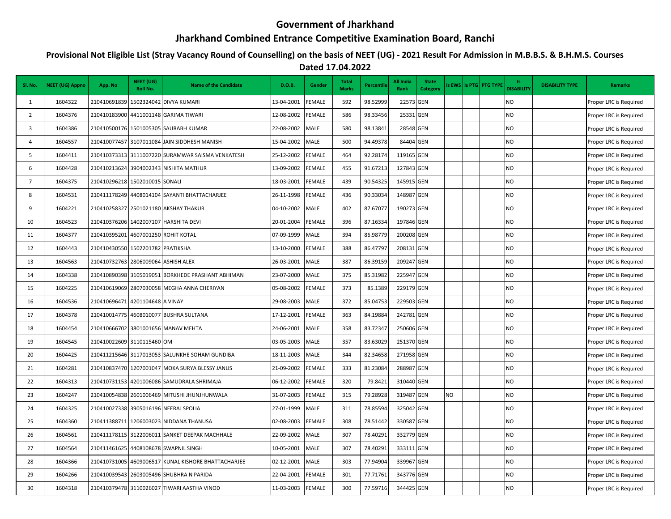## **Government of Jharkhand**

## **Jharkhand Combined Entrance Competitive Examination Board, Ranchi**

## **Provisional Not Eligible List (Stray Vacancy Round of Counselling) on the basis of NEET (UG) - 2021 Result For Admission in M.B.B.S. & B.H.M.S. Courses**

**Dated 17.04.2022**

| Sl. No.                 | <b>NEET (UG) Appno</b> | App. No                             | NEET (UG)<br>Roll No. | <b>Name of the Candidate</b>                        | D.O.B.     | Gender        | <b>Total</b><br><b>Marks</b> | Percentile | All India<br>Rank | <b>State</b><br><b>Category</b> |    | ls EWS   Is PTG   PTG TYPE | ls.<br><b>DISABILITY</b> | <b>DISABILITY TYPE</b> | <b>Remarks</b>         |
|-------------------------|------------------------|-------------------------------------|-----------------------|-----------------------------------------------------|------------|---------------|------------------------------|------------|-------------------|---------------------------------|----|----------------------------|--------------------------|------------------------|------------------------|
| 1                       | 1604322                |                                     |                       | 210410691839 1502324042 DIVYA KUMARI                | 13-04-2001 | FEMALE        | 592                          | 98.52999   | 22573 GEN         |                                 |    |                            | <b>NO</b>                |                        | Proper LRC is Required |
| $\overline{2}$          | 1604376                |                                     |                       | 210410183900 4411001148 GARIMA TIWARI               | 12-08-2002 | FEMALE        | 586                          | 98.33456   | 25331 GEN         |                                 |    |                            | <b>NO</b>                |                        | Proper LRC is Required |
| $\overline{\mathbf{3}}$ | 1604386                |                                     |                       | 210410500176 1501005305 SAURABH KUMAR               | 22-08-2002 | MALE          | 580                          | 98.13841   | 28548 GEN         |                                 |    |                            | N <sub>O</sub>           |                        | Proper LRC is Required |
| $\overline{4}$          | 1604557                |                                     |                       | 210410077457 3107011084 JAIN SIDDHESH MANISH        | 15-04-2002 | MALE          | 500                          | 94.49378   | 84404 GEN         |                                 |    |                            | <b>NO</b>                |                        | Proper LRC is Required |
| 5                       | 1604411                |                                     |                       | 210410373313 3111007220 SURAMWAR SAISMA VENKATESH   | 25-12-2002 | FEMALE        | 464                          | 92.28174   | 119165 GEN        |                                 |    |                            | <b>NO</b>                |                        | Proper LRC is Required |
| 6                       | 1604428                |                                     |                       | 210410213624 3904002343 NISHITA MATHUR              | 13-09-2002 | FEMALE        | 455                          | 91.67213   | 127843 GEN        |                                 |    |                            | <b>NO</b>                |                        | Proper LRC is Required |
| $\overline{7}$          | 1604375                | 210410296218 1502010015 SONALI      |                       |                                                     | 18-03-2001 | FEMALE        | 439                          | 90.54325   | 145915 GEN        |                                 |    |                            | <b>NO</b>                |                        | Proper LRC is Required |
| 8                       | 1604531                |                                     |                       | 210411178249 4408014104 SAYANTI BHATTACHARJEE       | 26-11-1998 | FEMALE        | 436                          | 90.33034   | 148987 GEN        |                                 |    |                            | <b>NO</b>                |                        | Proper LRC is Required |
| 9                       | 1604221                |                                     |                       | 210410258327 2501021180 AKSHAY THAKUR               | 04-10-2002 | MALE          | 402                          | 87.67077   | 190273 GEN        |                                 |    |                            | <b>NO</b>                |                        | Proper LRC is Required |
| 10                      | 1604523                |                                     |                       | 210410376206 1402007107 HARSHITA DEVI               | 20-01-2004 | FEMALE        | 396                          | 87.16334   | 197846 GEN        |                                 |    |                            | <b>NO</b>                |                        | Proper LRC is Required |
| 11                      | 1604377                | 210410395201                        |                       | 4607001250 ROHIT KOTAL                              | 07-09-1999 | MALE          | 394                          | 86.98779   | 200208 GEN        |                                 |    |                            | <b>NO</b>                |                        | Proper LRC is Required |
| 12                      | 1604443                | 210410430550 1502201782 PRATIKSHA   |                       |                                                     | 13-10-2000 | <b>FEMALE</b> | 388                          | 86.47797   | 208131 GEN        |                                 |    |                            | <b>NO</b>                |                        | Proper LRC is Required |
| 13                      | 1604563                | 210410732763 2806009064 ASHISH ALEX |                       |                                                     | 26-03-2001 | MALE          | 387                          | 86.39159   | 209247 GEN        |                                 |    |                            | <b>NO</b>                |                        | Proper LRC is Required |
| 14                      | 1604338                |                                     |                       | 210410890398 3105019051 BORKHEDE PRASHANT ABHIMAN   | 23-07-2000 | MALE          | 375                          | 85.31982   | 225947 GEN        |                                 |    |                            | <b>NO</b>                |                        | Proper LRC is Required |
| 15                      | 1604225                |                                     |                       | 210410619069 2807030058 MEGHA ANNA CHERIYAN         | 05-08-2002 | FEMALE        | 373                          | 85.1389    | 229179 GEN        |                                 |    |                            | <b>NO</b>                |                        | Proper LRC is Required |
| 16                      | 1604536                | 210410696471                        | 4201104648 A VINAY    |                                                     | 29-08-2003 | <b>MALE</b>   | 372                          | 85.04753   | 229503 GEN        |                                 |    |                            | <b>NO</b>                |                        | Proper LRC is Required |
| 17                      | 1604378                |                                     |                       | 210410014775 4608010077 BUSHRA SULTANA              | 17-12-2001 | FEMALE        | 363                          | 84.19884   | 242781 GEN        |                                 |    |                            | <b>NO</b>                |                        | Proper LRC is Required |
| 18                      | 1604454                |                                     |                       | 210410666702 3801001656 MANAV MEHTA                 | 24-06-2001 | MALE          | 358                          | 83.72347   | 250606 GEN        |                                 |    |                            | <b>NO</b>                |                        | Proper LRC is Required |
| 19                      | 1604545                | 210410022609 3110115460 OM          |                       |                                                     | 03-05-2003 | <b>MALE</b>   | 357                          | 83.63029   | 251370 GEN        |                                 |    |                            | <b>NO</b>                |                        | Proper LRC is Required |
| 20                      | 1604425                |                                     |                       | 210411215646 3117013053 SALUNKHE SOHAM GUNDIBA      | 18-11-2003 | <b>MALE</b>   | 344                          | 82.34658   | 271958 GEN        |                                 |    |                            | <b>NO</b>                |                        | Proper LRC is Required |
| 21                      | 1604281                |                                     |                       | 210410837470 1207001047 MOKA SURYA BLESSY JANUS     | 21-09-2002 | FEMALE        | 333                          | 81.23084   | 288987 GEN        |                                 |    |                            | <b>NO</b>                |                        | Proper LRC is Required |
| 22                      | 1604313                |                                     |                       | 210410731153 4201006086 SAMUDRALA SHRIMAJA          | 06-12-2002 | FEMALE        | 320                          | 79.8421    | 310440 GEN        |                                 |    |                            | <b>NO</b>                |                        | Proper LRC is Required |
| 23                      | 1604247                |                                     |                       | 210410054838 2601006469 MITUSHI JHUNJHUNWALA        | 31-07-2003 | <b>FEMALE</b> | 315                          | 79.28928   | 319487 GEN        |                                 | NO |                            | <b>NO</b>                |                        | Proper LRC is Required |
| 24                      | 1604325                |                                     |                       | 210410027338 3905016196 NEERAJ SPOLIA               | 27-01-1999 | <b>MALE</b>   | 311                          | 78.85594   | 325042 GEN        |                                 |    |                            | <b>NO</b>                |                        | Proper LRC is Required |
| 25                      | 1604360                |                                     |                       | 210411388711 1206003023 NIDDANA THANUSA             | 02-08-2003 | FEMALE        | 308                          | 78.51442   | 330587 GEN        |                                 |    |                            | <b>NO</b>                |                        | Proper LRC is Required |
| 26                      | 1604561                |                                     |                       | 210411178115 3122006011 SANKET DEEPAK MACHHALE      | 22-09-2002 | MALE          | 307                          | 78.40291   | 332779 GEN        |                                 |    |                            | <b>NO</b>                |                        | Proper LRC is Required |
| 27                      | 1604564                |                                     |                       | 210411461625 4408108678 SWAPNIL SINGH               | 10-05-2001 | MALE          | 307                          | 78.40291   | 333111 GEN        |                                 |    |                            | <b>NO</b>                |                        | Proper LRC is Required |
| 28                      | 1604366                |                                     |                       | 210410731005 4609006517 KUNAL KISHORE BHATTACHARJEE | 02-12-2001 | <b>MALE</b>   | 303                          | 77.94904   | 339967 GEN        |                                 |    |                            | <b>NO</b>                |                        | Proper LRC is Required |
| 29                      | 1604266                |                                     |                       | 210410039543 2603005496 SHUBHRA N PARIDA            | 22-04-2001 | FEMALE        | 301                          | 77.71761   | 343776 GEN        |                                 |    |                            | <b>NO</b>                |                        | Proper LRC is Required |
| 30                      | 1604318                |                                     |                       | 210410379478 3110026027 TIWARI AASTHA VINOD         | 11-03-2003 | FEMALE        | 300                          | 77.59716   | 344425 GEN        |                                 |    |                            | N <sub>O</sub>           |                        | Proper LRC is Required |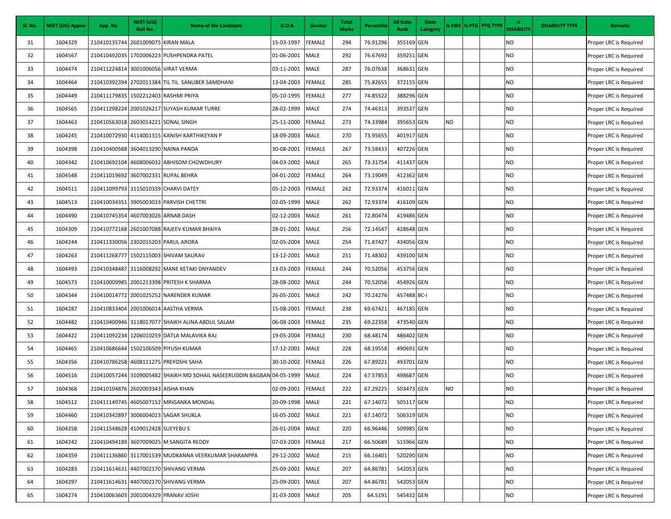| Sl. No. | <b>NEET (UG) Appno</b> | App. No                              | NEET (UG)<br>Roll No. | <b>Name of the Candidate</b>                              | D.O.B.          | Gender        | <b>Total</b><br><b>Marks</b> | Percentile | <b>All India</b><br>Rank | <b>State</b><br>Category |    | Is EWS   Is PTG   PTG TYPE | ls.<br><b>DISABILITY</b> | <b>DISABILITY TYPE</b> | <b>Remarks</b>         |
|---------|------------------------|--------------------------------------|-----------------------|-----------------------------------------------------------|-----------------|---------------|------------------------------|------------|--------------------------|--------------------------|----|----------------------------|--------------------------|------------------------|------------------------|
| 31      | 1604329                | 210410135744                         |                       | 2601009075 KIRAN MALA                                     | 15-03-1997      | <b>FEMALE</b> | 294                          | 76.91296   | 355169 GEN               |                          |    |                            | NO                       |                        | Proper LRC is Required |
| 32      | 1604567                | 210410492035                         |                       | 1702006223 PUSHPENDRA PATEL                               | 01-06-2001      | <b>MALE</b>   | 292                          | 76.67692   | 359251 GEN               |                          |    |                            | NO                       |                        | Proper LRC is Required |
| 33      | 1604474                | 210411224814                         |                       | 3001006056 VIRAT VERMA                                    | 03-11-2001      | <b>MALE</b>   | 287                          | 76.07638   | 368631 GEN               |                          |    |                            | NO                       |                        | Proper LRC is Required |
| 34      | 1604464                |                                      |                       | 210410392394 2702011384 TIL TIL SANUBER SAMDHANI          | 13-04-2003      | <b>FEMALE</b> | 285                          | 75.82655   | 372155 GEN               |                          |    |                            | NO                       |                        | Proper LRC is Required |
| 35      | 1604449                | 210411179835 1502212403 RASHMI PRIYA |                       |                                                           | 05-10-1995      | <b>FEMALE</b> | 277                          | 74.85522   | 388296 GEN               |                          |    |                            | <b>NO</b>                |                        | Proper LRC is Required |
| 36      | 1604565                | 210411298224                         |                       | 2001026217 SUYASH KUMAR TURRE                             | 28-02-1999      | <b>MALE</b>   | 274                          | 74.46313   | 393537 GEN               |                          |    |                            | NO                       |                        | Proper LRC is Required |
| 37      | 1604463                | 210410563018 2603014221 SONAL SINGH  |                       |                                                           | 25-11-2000      | <b>FEMALE</b> | 273                          | 74.33984   | 395653 GEN               |                          | NO |                            | NO                       |                        | Proper LRC is Required |
| 38      | 1604245                |                                      |                       | 210410072930 4114001315 KANISH KARTHIKEYAN P              | 18-09-2003      | <b>MALE</b>   | 270                          | 73.95655   | 401917 GEN               |                          |    |                            | <b>NO</b>                |                        | Proper LRC is Required |
| 39      | 1604398                | 210410400588 3604013290 NAINA PANDA  |                       |                                                           | 30-08-2001      | <b>FEMALE</b> | 267                          | 73.58433   | 407226 GEN               |                          |    |                            | NO                       |                        | Proper LRC is Required |
| 40      | 1604342                | 210410692104                         |                       | 4608006032 ABHISOM CHOWDHURY                              | 04-03-2002      | <b>MALE</b>   | 265                          | 73.31754   | 411437 GEN               |                          |    |                            | NO                       |                        | Proper LRC is Required |
| 41      | 1604548                | 210411019692 3607002331 RUPAL BEHRA  |                       |                                                           | 04-01-2002      | <b>FEMALE</b> | 264                          | 73.19049   | 412362 GEN               |                          |    |                            | NO                       |                        | Proper LRC is Required |
| 42      | 1604511                | 210411099793 3115010339 CHARVI DATEY |                       |                                                           | 05-12-2003      | <b>FEMALE</b> | 262                          | 72.93374   | 416011 GEN               |                          |    |                            | NO                       |                        | Proper LRC is Required |
| 43      | 1604513                | 210410034351                         |                       | 3905003033 PARVISH CHETTRI                                | 02-05-1999      | <b>MALE</b>   | 262                          | 72.93374   | 416109 GEN               |                          |    |                            | NO                       |                        | Proper LRC is Required |
| 44      | 1604490                | 210410745354                         |                       | 4607003026 ARNAB DASH                                     | 02-12-2003      | <b>MALE</b>   | 261                          | 72.80474   | 419486 GEN               |                          |    |                            | <b>NO</b>                |                        | Proper LRC is Required |
| 45      | 1604309                |                                      |                       | 210410772168 2601007088 RAJEEV KUMAR BHAIYA               | 28-01-2001      | <b>MALE</b>   | 256                          | 72.14547   | 428648 GEN               |                          |    |                            | <b>NO</b>                |                        | Proper LRC is Required |
| 46      | 1604244                | 210411330056                         |                       | 2302015203 PARUL ARORA                                    | 02-05-2004      | <b>MALE</b>   | 254                          | 71.87427   | 434056 GEN               |                          |    |                            | NO                       |                        | Proper LRC is Required |
| 47      | 1604263                | 210411268777                         |                       | 1502115003 SHIVAM SAURAV                                  | 13-12-2001      | <b>MALE</b>   | 251                          | 71.48302   | 439100 GEN               |                          |    |                            | NO                       |                        | Proper LRC is Required |
| 48      | 1604493                |                                      |                       | 210410348487 3116008292 MANE KETAKI DNYANDEV              | 13-03-2003      | <b>FEMALE</b> | 244                          | 70.52056   | 453756 GEN               |                          |    |                            | NO                       |                        | Proper LRC is Required |
| 49      | 1604573                | 210410009985                         |                       | 2001213398 PRITESH K SHARMA                               | 28-08-2002      | <b>MALE</b>   | 244                          | 70.52056   | 454926 GEN               |                          |    |                            | NO                       |                        | Proper LRC is Required |
| 50      | 1604344                |                                      |                       | 210410014772 2001025252 NARENDER KUMAR                    | 26-05-2001      | <b>MALE</b>   | 242                          | 70.24276   | 457488 BC-I              |                          |    |                            | NO                       |                        | Proper LRC is Required |
| 51      | 1604287                | 210410833404                         |                       | 2001006014 AASTHA VERMA                                   | 15-08-2001      | <b>FEMALE</b> | 238                          | 69.67421   | 467185 GEN               |                          |    |                            | NO                       |                        | Proper LRC is Required |
| 52      | 1604482                |                                      |                       | 210410400946 3118017077 SHAIKH ALINA ABDUL SALAM          | 06-08-2003      | <b>FEMALE</b> | 235                          | 69.22358   | 473540 GEN               |                          |    |                            | NO                       |                        | Proper LRC is Required |
| 53      | 1604422                | 210411092234                         |                       | 1206010259 DATLA MALAVIKA RAJ                             | 19-05-2004      | <b>FEMALE</b> | 230                          | 68.48174   | 486402 GEN               |                          |    |                            | NO                       |                        | Proper LRC is Required |
| 54      | 1604465                | 210410686644                         |                       | 1502106509 PIYUSH KUMAR                                   | 17-12-2001      | <b>MALE</b>   | 228                          | 68.19558   | 490691 GEN               |                          |    |                            | NO                       |                        | Proper LRC is Required |
| 55      | 1604356                | 210410786258                         |                       | 4608111275 PREYOSHI SAHA                                  | 30-10-2002      | <b>FEMALE</b> | 226                          | 67.89221   | 493701 GEN               |                          |    |                            | NO                       |                        | Proper LRC is Required |
| 56      | 1604516                | 210410057244                         |                       | 3109005482 SHAIKH MD SOHAIL NASEERUDDIN BAGBAN 04-05-1999 |                 | <b>MALE</b>   | 224                          | 67.57853   | 498687 GEN               |                          |    |                            | NO                       |                        | Proper LRC is Required |
| 57      | 1604368                | 210410104876 2602003343 AISHA KHAN   |                       |                                                           | 02-09-2001      | <b>FEMALE</b> | 222                          | 67.29225   | 503473 GEN               |                          | NO |                            | NO                       |                        | Proper LRC is Required |
| 58      | 1604512                |                                      |                       | 210411149745 4605007152 MRIGANKA MONDAL                   | 20-09-1998 MALE |               | 221                          | 67.14072   | 505117 GEN               |                          |    |                            | <b>NO</b>                |                        | Proper LRC is Required |
| 59      | 1604460                |                                      |                       | 210410342897 3006004023 SAGAR SHUKLA                      | 16-05-2002      | <b>MALE</b>   | 221                          | 67.14072   | 506319 GEN               |                          |    |                            | <b>NO</b>                |                        | Proper LRC is Required |
| 60      | 1604258                | 210411548628 4109012428 SUEYEBU S    |                       |                                                           | 26-01-2004      | <b>MALE</b>   | 220                          | 66.96446   | 509985 GEN               |                          |    |                            | NO                       |                        | Proper LRC is Required |
| 61      | 1604242                |                                      |                       | 210410494189 3607009025 M SANGITA REDDY                   | 07-03-2003      | <b>FEMALE</b> | 217                          | 66.50689   | 515966 GEN               |                          |    |                            | NO                       |                        | Proper LRC is Required |
| 62      | 1604359                |                                      |                       | 210411136860 3117001539 MUDKANNA VEERKUMAR SHARANPPA      | 29-12-2002      | <b>MALE</b>   | 215                          | 66.16401   | 520290 GEN               |                          |    |                            | NO                       |                        | Proper LRC is Required |
| 63      | 1604283                | 210411614631                         |                       | 4407002170 SHIVANG VERMA                                  | 25-09-2001      | <b>MALE</b>   | 207                          | 64.86781   | 542053 GEN               |                          |    |                            | <b>NO</b>                |                        | Proper LRC is Required |
| 64      | 1604297                | 210411614631                         |                       | 4407002170 SHIVANG VERMA                                  | 25-09-2001      | <b>MALE</b>   | 207                          | 64.86781   | 542053 GEN               |                          |    |                            | <b>NO</b>                |                        | Proper LRC is Required |
| 65      | 1604274                | 210410063603 2001004329 PRANAV JOSHI |                       |                                                           | 31-03-2003      | <b>MALE</b>   | 205                          | 64.5191    | 545432 GEN               |                          |    |                            | <b>NO</b>                |                        | Proper LRC is Required |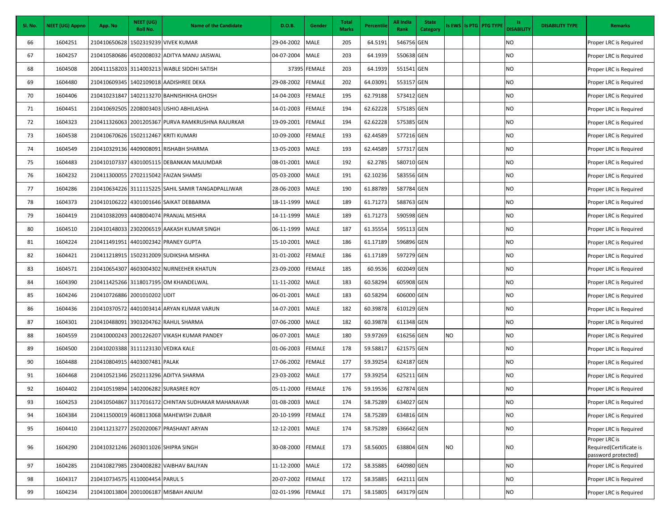| Sl. No. | <b>NEET (UG) Appno</b> | App. No                              | NEET (UG)<br>Roll No. | <b>Name of the Candidate</b>                       | D.O.B.     | Gender        | <b>Total</b><br><b>Marks</b> | Percentile | All India<br>Rank | <b>State</b><br>Category |     | Is EWS   Is PTG   PTG TYPE | ls.<br><b>DISABILITY</b> | <b>DISABILITY TYPE</b> | <b>Remarks</b>                                                  |
|---------|------------------------|--------------------------------------|-----------------------|----------------------------------------------------|------------|---------------|------------------------------|------------|-------------------|--------------------------|-----|----------------------------|--------------------------|------------------------|-----------------------------------------------------------------|
| 66      | 1604251                | 210410650628                         |                       | 1502319239 VIVEK KUMAR                             | 29-04-2002 | <b>MALE</b>   | 205                          | 64.5191    | 546756 GEN        |                          |     |                            | NO                       |                        | Proper LRC is Required                                          |
| 67      | 1604257                |                                      |                       | 210410580686 4502008032 ADITYA MANU JAISWAL        | 04-07-2004 | <b>MALE</b>   | 203                          | 64.1939    | 550638 GEN        |                          |     |                            | NO                       |                        | Proper LRC is Required                                          |
| 68      | 1604508                |                                      |                       | 200411158203 3114003213 WABLE SIDDHI SATISH        |            | 37395 FEMALE  | 203                          | 64.1939    | 551541 GEN        |                          |     |                            | NO                       |                        | Proper LRC is Required                                          |
| 69      | 1604480                | 210410609345                         |                       | 1402109018 AADISHREE DEKA                          | 29-08-2002 | <b>FEMALE</b> | 202                          | 64.03091   | 553157 GEN        |                          |     |                            | NO                       |                        | Proper LRC is Required                                          |
| 70      | 1604406                | 210410231847                         |                       | 1402113270 BAHNISHIKHA GHOSH                       | 14-04-2003 | <b>FEMALE</b> | 195                          | 62.79188   | 573412 GEN        |                          |     |                            | NO                       |                        | Proper LRC is Required                                          |
| 71      | 1604451                | 210410692505                         |                       | 2208003403 USHIO ABHILASHA                         | 14-01-2003 | <b>FEMALE</b> | 194                          | 62.62228   | 575185 GEN        |                          |     |                            | NO                       |                        | Proper LRC is Required                                          |
| 72      | 1604323                |                                      |                       | 210411326063 2001205367 PURVA RAMKRUSHNA RAJURKAR  | 19-09-2001 | <b>FEMALE</b> | 194                          | 62.62228   | 575385 GEN        |                          |     |                            | <b>NO</b>                |                        | Proper LRC is Required                                          |
| 73      | 1604538                | 210410670626 1502112467 KRITI KUMARI |                       |                                                    | 10-09-2000 | <b>FEMALE</b> | 193                          | 62.44589   | 577216 GEN        |                          |     |                            | NO                       |                        | Proper LRC is Required                                          |
| 74      | 1604549                |                                      |                       | 210410329136 4409008091 RISHABH SHARMA             | 13-05-2003 | <b>MALE</b>   | 193                          | 62.44589   | 577317 GEN        |                          |     |                            | NO                       |                        | Proper LRC is Required                                          |
| 75      | 1604483                | 210410107337                         |                       | 4301005115 DEBANKAN MAJUMDAR                       | 08-01-2001 | <b>MALE</b>   | 192                          | 62.2785    | 580710 GEN        |                          |     |                            | NO                       |                        | Proper LRC is Required                                          |
| 76      | 1604232                |                                      |                       | 210411300055 2702115042 FAIZAN SHAMSI              | 05-03-2000 | <b>MALE</b>   | 191                          | 62.10236   | 583556 GEN        |                          |     |                            | NO                       |                        | Proper LRC is Required                                          |
| 77      | 1604286                |                                      |                       | 210410634226 3111115225 SAHIL SAMIR TANGADPALLIWAR | 28-06-2003 | <b>MALE</b>   | 190                          | 61.88789   | 587784 GEN        |                          |     |                            | NO                       |                        | Proper LRC is Required                                          |
| 78      | 1604373                |                                      |                       | 210410106222 4301001646 SAIKAT DEBBARMA            | 18-11-1999 | <b>MALE</b>   | 189                          | 61.71273   | 588763 GEN        |                          |     |                            | NO                       |                        | Proper LRC is Required                                          |
| 79      | 1604419                |                                      |                       | 210410382093 4408004074 PRANJAL MISHRA             | 14-11-1999 | <b>MALE</b>   | 189                          | 61.71273   | 590598 GEN        |                          |     |                            | NO                       |                        | Proper LRC is Required                                          |
| 80      | 1604510                |                                      |                       | 210410148033 2302006519 AAKASH KUMAR SINGH         | 06-11-1999 | <b>MALE</b>   | 187                          | 61.35554   | 595113 GEN        |                          |     |                            | NO                       |                        | Proper LRC is Required                                          |
| 81      | 1604224                | 210411491951                         |                       | 4401002342 PRANEY GUPTA                            | 15-10-2001 | <b>MALE</b>   | 186                          | 61.17189   | 596896 GEN        |                          |     |                            | NO                       |                        | Proper LRC is Required                                          |
| 82      | 1604421                |                                      |                       | 210411218915 1502312009 SUDIKSHA MISHRA            | 31-01-2002 | <b>FEMALE</b> | 186                          | 61.17189   | 597279 GEN        |                          |     |                            | NO                       |                        | Proper LRC is Required                                          |
| 83      | 1604571                | 210410654307                         |                       | 4603004302 NURNEEHER KHATUN                        | 23-09-2000 | <b>FEMALE</b> | 185                          | 60.9536    | 602049 GEN        |                          |     |                            | <b>NO</b>                |                        | Proper LRC is Required                                          |
| 84      | 1604390                |                                      |                       | 210411425266 3118017195 OM KHANDELWAL              | 11-11-2002 | MALE          | 183                          | 60.58294   | 605908 GEN        |                          |     |                            | NO                       |                        | Proper LRC is Required                                          |
| 85      | 1604246                | 210410726886 2001010202 UDIT         |                       |                                                    | 06-01-2001 | <b>MALE</b>   | 183                          | 60.58294   | 606000 GEN        |                          |     |                            | <b>NO</b>                |                        | Proper LRC is Required                                          |
| 86      | 1604436                |                                      |                       | 210410370572 4401003414 ARYAN KUMAR VARUN          | 14-07-2001 | <b>MALE</b>   | 182                          | 60.39878   | 610129 GEN        |                          |     |                            | NO                       |                        | Proper LRC is Required                                          |
| 87      | 1604301                | 210410488091                         |                       | 3903204762 RAHUL SHARMA                            | 07-06-2000 | <b>MALE</b>   | 182                          | 60.39878   | 611348 GEN        |                          |     |                            | NO                       |                        | Proper LRC is Required                                          |
| 88      | 1604559                |                                      |                       | 210410000243 2001226207 VIKASH KUMAR PANDEY        | 06-07-2001 | <b>MALE</b>   | 180                          | 59.97269   | 616256 GEN        |                          | NO. |                            | <b>NO</b>                |                        | Proper LRC is Required                                          |
| 89      | 1604500                | 210410203388 3111123130 VEDIKA KALE  |                       |                                                    | 01-06-2003 | <b>FEMALE</b> | 178                          | 59.58817   | 621575 GEN        |                          |     |                            | NO                       |                        | Proper LRC is Required                                          |
| 90      | 1604488                | 210410804915 4403007481 PALAK        |                       |                                                    | 17-06-2002 | <b>FEMALE</b> | 177                          | 59.39254   | 624187 GEN        |                          |     |                            | NO                       |                        | Proper LRC is Required                                          |
| 91      | 1604468                |                                      |                       | 210410521346 2502113296 ADITYA SHARMA              | 23-03-2002 | <b>MALE</b>   | 177                          | 59.39254   | 625211 GEN        |                          |     |                            | <b>NO</b>                |                        | Proper LRC is Required                                          |
| 92      | 1604402                |                                      |                       | 210410519894 1402006282 SURASREE ROY               | 05-11-2000 | <b>FEMALE</b> | 176                          | 59.19536   | 627874 GEN        |                          |     |                            | NO                       |                        | Proper LRC is Required                                          |
| 93      | 1604253                |                                      |                       | 210410504867 3117016172 CHINTAN SUDHAKAR MAHANAVAR | 01-08-2003 | <b>MALE</b>   | 174                          | 58.75289   | 634027 GEN        |                          |     |                            | <b>NO</b>                |                        | Proper LRC is Required                                          |
| 94      | 1604384                |                                      |                       | 210411500019 4608113068 MAHEWISH ZUBAIR            | 20-10-1999 | <b>FEMALE</b> | 174                          | 58.75289   | 634816 GEN        |                          |     |                            | <b>NO</b>                |                        | Proper LRC is Required                                          |
| 95      | 1604410                |                                      |                       | 210411213277 2502020067 PRASHANT ARYAN             | 12-12-2001 | <b>MALE</b>   | 174                          | 58.75289   | 636642 GEN        |                          |     |                            | <b>NO</b>                |                        | Proper LRC is Required                                          |
| 96      | 1604290                | 210410321246 2603011026 SHIPRA SINGH |                       |                                                    | 30-08-2000 | <b>FEMALE</b> | 173                          | 58.56005   | 638804 GEN        |                          | NO. |                            | NO                       |                        | Proper LRC is<br>Required(Certificate is<br>password protected) |
| 97      | 1604285                |                                      |                       | 210410827985 2304008282 VAIBHAV BALIYAN            | 11-12-2000 | <b>MALE</b>   | 172                          | 58.35885   | 640980 GEN        |                          |     |                            | <b>NO</b>                |                        | Proper LRC is Required                                          |
| 98      | 1604317                | 210410734575 4110004454 PARUL S      |                       |                                                    | 20-07-2002 | <b>FEMALE</b> | 172                          | 58.35885   | 642111 GEN        |                          |     |                            | <b>NO</b>                |                        | Proper LRC is Required                                          |
| 99      | 1604234                |                                      |                       | 210410013804 2001006187 MISBAH ANJUM               | 02-01-1996 | FEMALE        | 171                          | 58.15805   | 643179 GEN        |                          |     |                            | NO                       |                        | Proper LRC is Required                                          |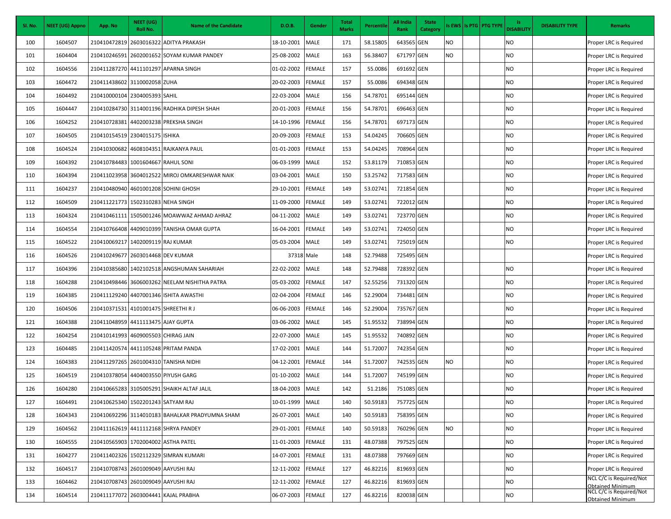| Sl. No. | <b>NEET (UG) Appno</b> | App. No                              | NEET (UG)<br>Roll No. | <b>Name of the Candidate</b>                    | D.O.B.          | Gender        | <b>Total</b><br><b>Marks</b> | Percentile | All India<br>Rank | <b>State</b><br>Category |     | Is EWS   Is PTG   PTG TYPE | ls.<br><b>DISABILITY</b> | <b>DISABILITY TYPE</b> | <b>Remarks</b>                                     |
|---------|------------------------|--------------------------------------|-----------------------|-------------------------------------------------|-----------------|---------------|------------------------------|------------|-------------------|--------------------------|-----|----------------------------|--------------------------|------------------------|----------------------------------------------------|
| 100     | 1604507                | 210410472819                         |                       | 2603016322 ADITYA PRAKASH                       | 18-10-2001      | <b>MALE</b>   | 171                          | 58.15805   | 643565 GEN        |                          | NO  |                            | NO                       |                        | Proper LRC is Required                             |
| 101     | 1604404                | 210410246591                         |                       | 2602001652 SOYAM KUMAR PANDEY                   | 25-08-2002      | <b>MALE</b>   | 163                          | 56.38407   | 671797 GEN        |                          | NO. |                            | <b>NO</b>                |                        | Proper LRC is Required                             |
| 102     | 1604556                |                                      |                       | 210411287270 4411101297 APARNA SINGH            | 01-02-2002      | <b>FEMALE</b> | 157                          | 55.0086    | 691692 GEN        |                          |     |                            | NO                       |                        | Proper LRC is Required                             |
| 103     | 1604472                | 210411438602 3110002058 ZUHA         |                       |                                                 | 20-02-2003      | <b>FEMALE</b> | 157                          | 55.0086    | 694348 GEN        |                          |     |                            | NO                       |                        | Proper LRC is Required                             |
| 104     | 1604492                | 210410000104 2304005393 SAHIL        |                       |                                                 | 22-03-2004      | <b>MALE</b>   | 156                          | 54.78701   | 695144 GEN        |                          |     |                            | NO                       |                        | Proper LRC is Required                             |
| 105     | 1604447                |                                      |                       | 210410284730 3114001196 RADHIKA DIPESH SHAH     | 20-01-2003      | <b>FEMALE</b> | 156                          | 54.78701   | 696463 GEN        |                          |     |                            | NO                       |                        | Proper LRC is Required                             |
| 106     | 1604252                | 210410728381                         |                       | 4402003238 PREKSHA SINGH                        | 14-10-1996      | <b>FEMALE</b> | 156                          | 54.78701   | 697173 GEN        |                          |     |                            | <b>NO</b>                |                        | Proper LRC is Required                             |
| 107     | 1604505                | 210410154519 2304015175 ISHIKA       |                       |                                                 | 20-09-2003      | <b>FEMALE</b> | 153                          | 54.04245   | 706605 GEN        |                          |     |                            | NO                       |                        | Proper LRC is Required                             |
| 108     | 1604524                | 210410300682                         |                       | 4608104351 RAJKANYA PAUL                        | 01-01-2003      | <b>FEMALE</b> | 153                          | 54.04245   | 708964 GEN        |                          |     |                            | NO                       |                        | Proper LRC is Required                             |
| 109     | 1604392                | 210410784483                         | 1001604667 RAHUL SONI |                                                 | 06-03-1999      | <b>MALE</b>   | 152                          | 53.81179   | 710853 GEN        |                          |     |                            | <b>NO</b>                |                        | Proper LRC is Required                             |
| 110     | 1604394                |                                      |                       | 210411023958 3604012522 MIROJ OMKARESHWAR NAIK  | 03-04-2001      | <b>MALE</b>   | 150                          | 53.25742   | 717583 GEN        |                          |     |                            | NO                       |                        | Proper LRC is Required                             |
| 111     | 1604237                |                                      |                       | 210410480940 4601001208 SOHINI GHOSH            | 29-10-2001      | <b>FEMALE</b> | 149                          | 53.02741   | 721854 GEN        |                          |     |                            | NO                       |                        | Proper LRC is Required                             |
| 112     | 1604509                | 210411221773 1502310283 NEHA SINGH   |                       |                                                 | 11-09-2000      | <b>FEMALE</b> | 149                          | 53.02741   | 722012 GEN        |                          |     |                            | <b>NO</b>                |                        | Proper LRC is Required                             |
| 113     | 1604324                | 210410461111                         |                       | 1505001246 MOAWWAZ AHMAD AHRAZ                  | 04-11-2002      | <b>MALE</b>   | 149                          | 53.02741   | 723770 GEN        |                          |     |                            | NO                       |                        | Proper LRC is Required                             |
| 114     | 1604554                |                                      |                       | 210410766408 4409010399 TANISHA OMAR GUPTA      | 16-04-2001      | <b>FEMALE</b> | 149                          | 53.02741   | 724050 GEN        |                          |     |                            | NO.                      |                        | Proper LRC is Required                             |
| 115     | 1604522                | 210410069217                         | 1402009119 RAJ KUMAR  |                                                 | 05-03-2004      | <b>MALE</b>   | 149                          | 53.02741   | 725019 GEN        |                          |     |                            | NO                       |                        | Proper LRC is Required                             |
| 116     | 1604526                | 210410249677                         | 2603014468 DEV KUMAR  |                                                 | 37318 Male      |               | 148                          | 52.79488   | 725495 GEN        |                          |     |                            |                          |                        | Proper LRC is Required                             |
| 117     | 1604396                |                                      |                       | 210410385680 1402102518 ANGSHUMAN SAHARIAH      | 22-02-2002      | <b>MALE</b>   | 148                          | 52.79488   | 728392 GEN        |                          |     |                            | NO                       |                        | Proper LRC is Required                             |
| 118     | 1604288                |                                      |                       | 210410498446 3606003262 NEELAM NISHITHA PATRA   | 05-03-2002      | <b>FEMALE</b> | 147                          | 52.55256   | 731320 GEN        |                          |     |                            | NO                       |                        | Proper LRC is Required                             |
| 119     | 1604385                |                                      |                       | 210411129240 4407001346 ISHITA AWASTHI          | 02-04-2004      | <b>FEMALE</b> | 146                          | 52.29004   | 734481 GEN        |                          |     |                            | NO                       |                        | Proper LRC is Required                             |
| 120     | 1604506                | 210410371531 4101001475 SHREETHIR J  |                       |                                                 | 06-06-2003      | <b>FEMALE</b> | 146                          | 52.29004   | 735767 GEN        |                          |     |                            | NO                       |                        | Proper LRC is Required                             |
| 121     | 1604388                | 210411048959 4411113475 AJAY GUPTA   |                       |                                                 | 03-06-2002      | <b>MALE</b>   | 145                          | 51.95532   | 738994 GEN        |                          |     |                            | NO                       |                        | Proper LRC is Required                             |
| 122     | 1604254                | 210410141993 4609005503 CHIRAG JAIN  |                       |                                                 | 22-07-2000      | <b>MALE</b>   | 145                          | 51.95532   | 740892 GEN        |                          |     |                            | NO                       |                        | Proper LRC is Required                             |
| 123     | 1604485                |                                      |                       | 210411420574 4411105248 PRITAM PANDA            | 17-02-2001      | <b>MALE</b>   | 144                          | 51.72007   | 742354 GEN        |                          |     |                            | NO                       |                        | Proper LRC is Required                             |
| 124     | 1604383                |                                      |                       | 210411297265 2601004310 TANISHA NIDHI           | 04-12-2001      | <b>FEMALE</b> | 144                          | 51.72007   | 742535 GEN        |                          | NO. |                            | NO                       |                        | Proper LRC is Required                             |
| 125     | 1604519                | 210410378054 4404003550 PIYUSH GARG  |                       |                                                 | 01-10-2002      | <b>MALE</b>   | 144                          | 51.72007   | 745199 GEN        |                          |     |                            | NO                       |                        | Proper LRC is Required                             |
| 126     | 1604280                |                                      |                       | 210410665283 3105005291 SHAIKH ALTAF JALIL      | 18-04-2003      | <b>MALE</b>   | 142                          | 51.2186    | 751085 GEN        |                          |     |                            | NO                       |                        | Proper LRC is Required                             |
| 127     | 1604491                | 210410625340 1502201243 SATYAM RAJ   |                       |                                                 | 10-01-1999 MALE |               | 140                          | 50.59183   | 757725 GEN        |                          |     |                            | <b>NO</b>                |                        | Proper LRC is Required                             |
| 128     | 1604343                |                                      |                       | 210410692296 3114010183 BAHALKAR PRADYUMNA SHAM | 26-07-2001      | <b>MALE</b>   | 140                          | 50.59183   | 758395 GEN        |                          |     |                            | <b>NO</b>                |                        | Proper LRC is Required                             |
| 129     | 1604562                |                                      |                       | 210411162619 4411112168 SHRYA PANDEY            | 29-01-2001      | <b>FEMALE</b> | 140                          | 50.59183   | 760296 GEN        |                          | NO  |                            | NO                       |                        | Proper LRC is Required                             |
| 130     | 1604555                | 210410565903 1702004002 ASTHA PATEL  |                       |                                                 | 11-01-2003      | <b>FEMALE</b> | 131                          | 48.07388   | 797525 GEN        |                          |     |                            | <b>NO</b>                |                        | Proper LRC is Required                             |
| 131     | 1604277                |                                      |                       | 210411402326 1502112329 SIMRAN KUMARI           | 14-07-2001      | <b>FEMALE</b> | 131                          | 48.07388   | 797669 GEN        |                          |     |                            | <b>NO</b>                |                        | Proper LRC is Required                             |
| 132     | 1604517                | 210410708743 2601009049 AAYUSHI RAJ  |                       |                                                 | 12-11-2002      | <b>FEMALE</b> | 127                          | 46.82216   | 819693 GEN        |                          |     |                            | NO                       |                        | Proper LRC is Required                             |
| 133     | 1604462                | 210410708743 2601009049 AAYUSHI RAJ  |                       |                                                 | 12-11-2002      | <b>FEMALE</b> | 127                          | 46.82216   | 819693 GEN        |                          |     |                            | NO                       |                        | NCL C/C is Required/Not<br><b>Obtained Minimum</b> |
| 134     | 1604514                | 210411177072 2603004441 KAJAL PRABHA |                       |                                                 | 06-07-2003      | <b>FEMALE</b> | 127                          | 46.82216   | 820038 GEN        |                          |     |                            | NO                       |                        | NCL C/C is Required/Not<br><b>Obtained Minimum</b> |